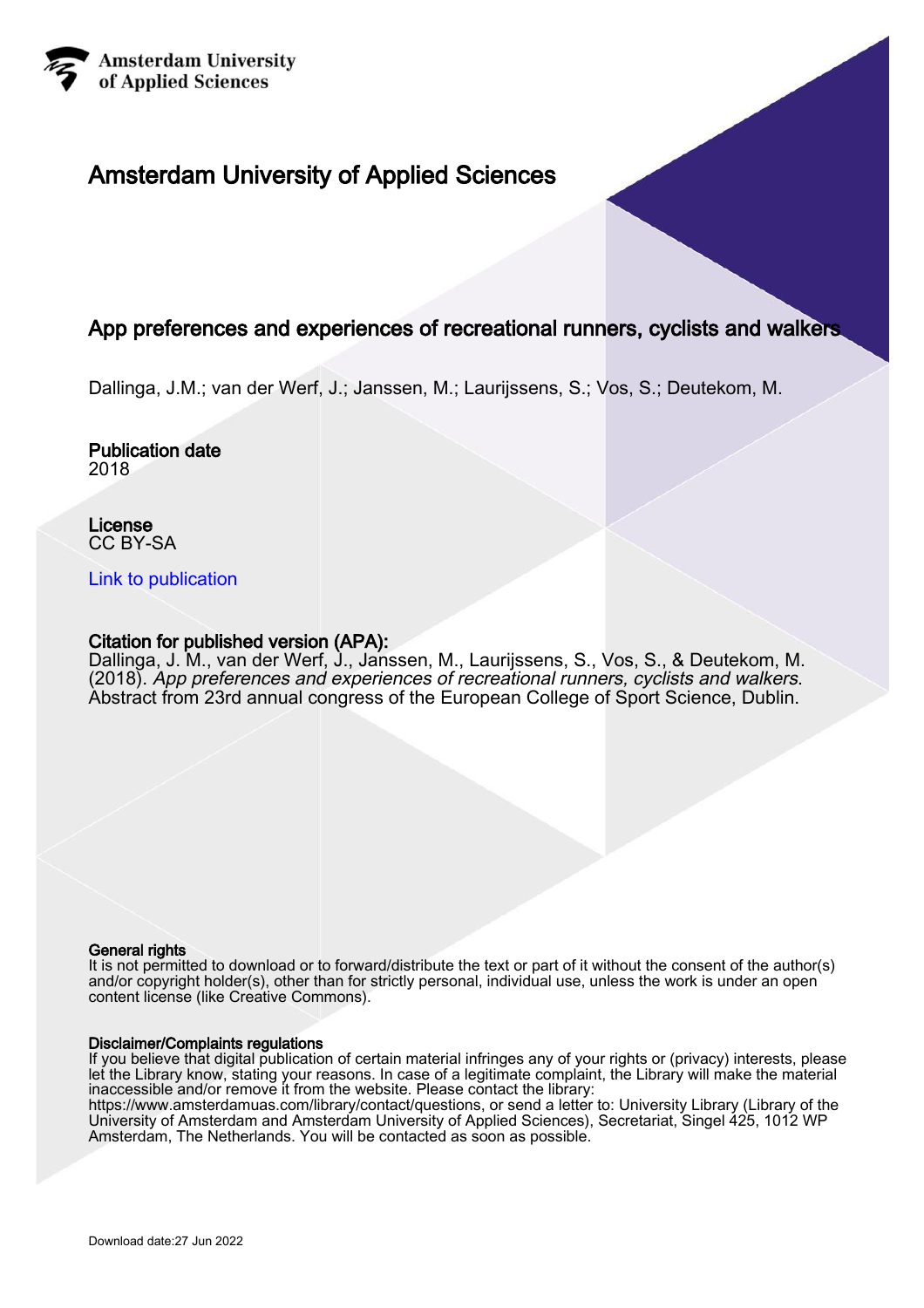

# Amsterdam University of Applied Sciences

## App preferences and experiences of recreational runners, cyclists and walkers

Dallinga, J.M.; van der Werf, J.; Janssen, M.; Laurijssens, S.; Vos, S.; Deutekom, M.

#### Publication date 2018

License CC BY-SA

## [Link to publication](https://research.hva.nl/en/publications/60ba59dd-281f-4f18-8d47-9eefccec9900)

## Citation for published version (APA):

Dallinga, J. M., van der Werf, J., Janssen, M., Laurijssens, S., Vos, S., & Deutekom, M. (2018). App preferences and experiences of recreational runners, cyclists and walkers. Abstract from 23rd annual congress of the European College of Sport Science, Dublin.

#### General rights

It is not permitted to download or to forward/distribute the text or part of it without the consent of the author(s) and/or copyright holder(s), other than for strictly personal, individual use, unless the work is under an open content license (like Creative Commons).

#### Disclaimer/Complaints regulations

If you believe that digital publication of certain material infringes any of your rights or (privacy) interests, please let the Library know, stating your reasons. In case of a legitimate complaint, the Library will make the material inaccessible and/or remove it from the website. Please contact the library:

https://www.amsterdamuas.com/library/contact/questions, or send a letter to: University Library (Library of the University of Amsterdam and Amsterdam University of Applied Sciences), Secretariat, Singel 425, 1012 WP Amsterdam, The Netherlands. You will be contacted as soon as possible.